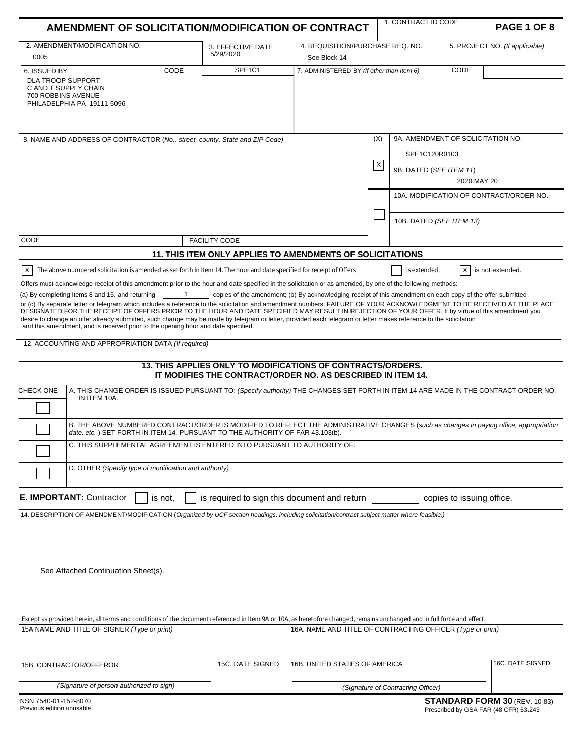| AMENDMENT OF SOLICITATION/MODIFICATION OF CONTRACT                                                                                                                                                                                                                                                                                                                                                                                                                                                                                                                                                                                            |                                                             |                                           |          | 1. CONTRACT ID CODE                                |                           | PAGE 1 OF 8                             |
|-----------------------------------------------------------------------------------------------------------------------------------------------------------------------------------------------------------------------------------------------------------------------------------------------------------------------------------------------------------------------------------------------------------------------------------------------------------------------------------------------------------------------------------------------------------------------------------------------------------------------------------------------|-------------------------------------------------------------|-------------------------------------------|----------|----------------------------------------------------|---------------------------|-----------------------------------------|
| 2. AMENDMENT/MODIFICATION NO.                                                                                                                                                                                                                                                                                                                                                                                                                                                                                                                                                                                                                 | 3. EFFECTIVE DATE<br>5/29/2020                              | 4. REQUISITION/PURCHASE REQ. NO.          |          |                                                    |                           | 5. PROJECT NO. (If applicable)          |
| 0005                                                                                                                                                                                                                                                                                                                                                                                                                                                                                                                                                                                                                                          |                                                             | See Block 14                              |          |                                                    |                           |                                         |
| CODE<br>6. ISSUED BY<br><b>DLA TROOP SUPPORT</b><br>C AND T SUPPLY CHAIN<br>700 ROBBINS AVENUE<br>PHILADELPHIA PA 19111-5096                                                                                                                                                                                                                                                                                                                                                                                                                                                                                                                  | SPE <sub>1C1</sub>                                          | 7. ADMINISTERED BY (If other than Item 6) |          |                                                    | CODE                      |                                         |
| 8. NAME AND ADDRESS OF CONTRACTOR (No., street, county, State and ZIP Code)                                                                                                                                                                                                                                                                                                                                                                                                                                                                                                                                                                   |                                                             |                                           | (X)      | 9A. AMENDMENT OF SOLICITATION NO.<br>SPE1C120R0103 |                           |                                         |
|                                                                                                                                                                                                                                                                                                                                                                                                                                                                                                                                                                                                                                               |                                                             |                                           | $\times$ | 9B. DATED (SEE ITEM 11)                            | 2020 MAY 20               |                                         |
|                                                                                                                                                                                                                                                                                                                                                                                                                                                                                                                                                                                                                                               |                                                             |                                           |          |                                                    |                           | 10A. MODIFICATION OF CONTRACT/ORDER NO. |
|                                                                                                                                                                                                                                                                                                                                                                                                                                                                                                                                                                                                                                               |                                                             |                                           |          | 10B. DATED (SEE ITEM 13)                           |                           |                                         |
| CODE                                                                                                                                                                                                                                                                                                                                                                                                                                                                                                                                                                                                                                          | <b>FACILITY CODE</b>                                        |                                           |          |                                                    |                           |                                         |
|                                                                                                                                                                                                                                                                                                                                                                                                                                                                                                                                                                                                                                               | 11. THIS ITEM ONLY APPLIES TO AMENDMENTS OF SOLICITATIONS   |                                           |          |                                                    |                           |                                         |
| $\mathsf{X}$<br>The above numbered solicitation is amended as set forth in Item 14. The hour and date specified for receipt of Offers                                                                                                                                                                                                                                                                                                                                                                                                                                                                                                         |                                                             |                                           |          | is extended,                                       | X                         | is not extended.                        |
| Offers must acknowledge receipt of this amendment prior to the hour and date specified in the solicitation or as amended, by one of the following methods:                                                                                                                                                                                                                                                                                                                                                                                                                                                                                    |                                                             |                                           |          |                                                    |                           |                                         |
| or (c) By separate letter or telegram which includes a reference to the solicitation and amendment numbers. FAILURE OF YOUR ACKNOWLEDGMENT TO BE RECEIVED AT THE PLACE<br>DESIGNATED FOR THE RECEIPT OF OFFERS PRIOR TO THE HOUR AND DATE SPECIFIED MAY RESULT IN REJECTION OF YOUR OFFER. If by virtue of this amendment you<br>desire to change an offer already submitted, such change may be made by telegram or letter, provided each telegram or letter makes reference to the solicitation<br>and this amendment, and is received prior to the opening hour and date specified.<br>12. ACCOUNTING AND APPROPRIATION DATA (If required) | 13. THIS APPLIES ONLY TO MODIFICATIONS OF CONTRACTS/ORDERS. |                                           |          |                                                    |                           |                                         |
| A. THIS CHANGE ORDER IS ISSUED PURSUANT TO: (Specify authority) THE CHANGES SET FORTH IN ITEM 14 ARE MADE IN THE CONTRACT ORDER NO.<br><b>CHECK ONE</b><br>IN ITEM 10A.                                                                                                                                                                                                                                                                                                                                                                                                                                                                       | IT MODIFIES THE CONTRACT/ORDER NO. AS DESCRIBED IN ITEM 14. |                                           |          |                                                    |                           |                                         |
|                                                                                                                                                                                                                                                                                                                                                                                                                                                                                                                                                                                                                                               |                                                             |                                           |          |                                                    |                           |                                         |
| B. THE ABOVE NUMBERED CONTRACT/ORDER IS MODIFIED TO REFLECT THE ADMINISTRATIVE CHANGES (such as changes in paying office, appropriation<br>date, etc.) SET FORTH IN ITEM 14, PURSUANT TO THE AUTHORITY OF FAR 43.103(b).                                                                                                                                                                                                                                                                                                                                                                                                                      |                                                             |                                           |          |                                                    |                           |                                         |
| C. THIS SUPPLEMENTAL AGREEMENT IS ENTERED INTO PURSUANT TO AUTHORITY OF:                                                                                                                                                                                                                                                                                                                                                                                                                                                                                                                                                                      |                                                             |                                           |          |                                                    |                           |                                         |
| D. OTHER (Specify type of modification and authority)                                                                                                                                                                                                                                                                                                                                                                                                                                                                                                                                                                                         |                                                             |                                           |          |                                                    |                           |                                         |
| E. IMPORTANT: Contractor<br>is not.                                                                                                                                                                                                                                                                                                                                                                                                                                                                                                                                                                                                           | is required to sign this document and return                |                                           |          |                                                    | copies to issuing office. |                                         |
| 14. DESCRIPTION OF AMENDMENT/MODIFICATION (Organized by UCF section headings, including solicitation/contract subject matter where feasible.)<br>See Attached Continuation Sheet(s).                                                                                                                                                                                                                                                                                                                                                                                                                                                          |                                                             |                                           |          |                                                    |                           |                                         |

| 15A NAME AND TITLE OF SIGNER (Type or print) |  | 16A. NAME AND TITLE OF CONTRACTING OFFICER (Type or print) |                  |  |
|----------------------------------------------|--|------------------------------------------------------------|------------------|--|
| 15C. DATE SIGNED<br>15B. CONTRACTOR/OFFEROR  |  | 16B. UNITED STATES OF AMERICA                              | 16C. DATE SIGNED |  |
| (Signature of person authorized to sign)     |  | (Signature of Contracting Officer)                         |                  |  |

Except as provided herein, all terms and conditions of the document referenced in Item 9A or 10A, as heretofore changed, remains unchanged and in full force and effect.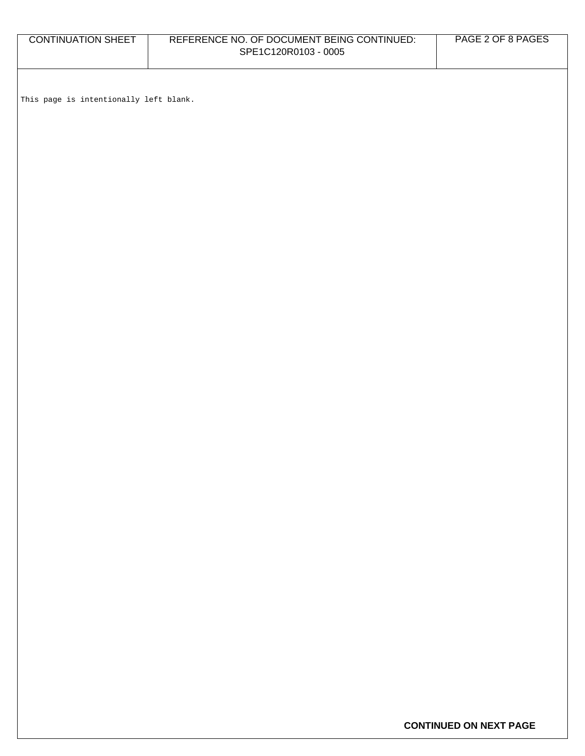| <b>CONTINUATION SHEET</b>              | REFERENCE NO. OF DOCUMENT BEING CONTINUED:<br>SPE1C120R0103 - 0005 | PAGE 2 OF 8 PAGES |
|----------------------------------------|--------------------------------------------------------------------|-------------------|
|                                        |                                                                    |                   |
| This page is intentionally left blank. |                                                                    |                   |
|                                        |                                                                    |                   |
|                                        |                                                                    |                   |
|                                        |                                                                    |                   |
|                                        |                                                                    |                   |
|                                        |                                                                    |                   |
|                                        |                                                                    |                   |
|                                        |                                                                    |                   |
|                                        |                                                                    |                   |
|                                        |                                                                    |                   |
|                                        |                                                                    |                   |
|                                        |                                                                    |                   |
|                                        |                                                                    |                   |
|                                        |                                                                    |                   |
|                                        |                                                                    |                   |
|                                        |                                                                    |                   |
|                                        |                                                                    |                   |
|                                        |                                                                    |                   |
|                                        |                                                                    |                   |

**CONTINUED ON NEXT PAGE**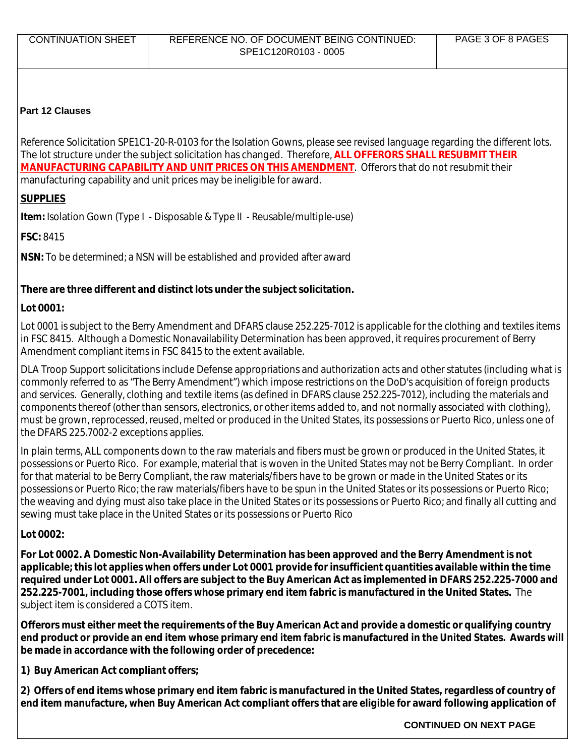## **Part 12 Clauses**

Reference Solicitation SPE1C1-20-R-0103 for the Isolation Gowns, please see revised language regarding the different lots. The lot structure under the subject solicitation has changed. Therefore, **ALL OFFERORS SHALL RESUBMIT THEIR MANUFACTURING CAPABILITY AND UNIT PRICES ON THIS AMENDMENT**. Offerors that do not resubmit their manufacturing capability and unit prices may be ineligible for award.

# **SUPPLIES**

**Item:** Isolation Gown (Type I - Disposable & Type II - Reusable/multiple-use)

**FSC:** 8415

**NSN:** To be determined; a NSN will be established and provided after award

## **There are three different and distinct lots under the subject solicitation.**

# **Lot 0001:**

Lot 0001 is subject to the Berry Amendment and DFARS clause 252.225-7012 is applicable for the clothing and textiles items in FSC 8415. Although a Domestic Nonavailability Determination has been approved, it requires procurement of Berry Amendment compliant items in FSC 8415 to the extent available.

DLA Troop Support solicitations include Defense appropriations and authorization acts and other statutes (including what is commonly referred to as "The Berry Amendment") which impose restrictions on the DoD's acquisition of foreign products and services. Generally, clothing and textile items (as defined in DFARS clause 252.225-7012), including the materials and components thereof (other than sensors, electronics, or other items added to, and not normally associated with clothing), must be grown, reprocessed, reused, melted or produced in the United States, its possessions or Puerto Rico, unless one of the DFARS 225.7002-2 exceptions applies.

In plain terms, ALL components down to the raw materials and fibers must be grown or produced in the United States, it possessions or Puerto Rico. For example, material that is woven in the United States may not be Berry Compliant. In order for that material to be Berry Compliant, the raw materials/fibers have to be grown or made in the United States or its possessions or Puerto Rico; the raw materials/fibers have to be spun in the United States or its possessions or Puerto Rico; the weaving and dying must also take place in the United States or its possessions or Puerto Rico; and finally all cutting and sewing must take place in the United States or its possessions or Puerto Rico

# **Lot 0002:**

**For Lot 0002. A Domestic Non-Availability Determination has been approved and the Berry Amendment is not applicable; this lot applies when offers under Lot 0001 provide for insufficient quantities available within the time required under Lot 0001. All offers are subject to the Buy American Act as implemented in DFARS 252.225-7000 and 252.225-7001, including those offers whose primary end item fabric is manufactured in the United States.** The subject item is considered a COTS item.

**Offerors must either meet the requirements of the Buy American Act and provide a domestic or qualifying country end product or provide an end item whose primary end item fabric is manufactured in the United States. Awards will be made in accordance with the following order of precedence:** 

**1) Buy American Act compliant offers;** 

**2) Offers of end items whose primary end item fabric is manufactured in the United States, regardless of country of end item manufacture, when Buy American Act compliant offers that are eligible for award following application of** 

**CONTINUED ON NEXT PAGE**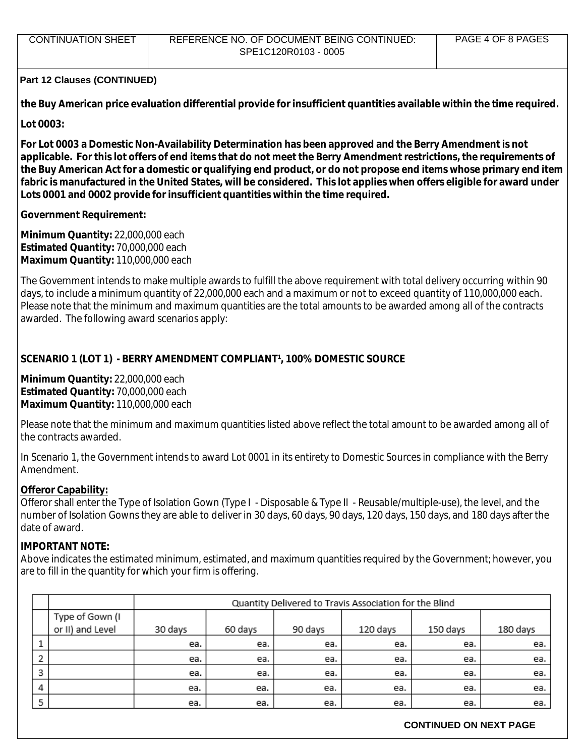| CONTINUATION SHEET | REFERENCE NO. OF DOCUMENT BEING CONTINUED: | PAGE 4 OF 8 PAGES |
|--------------------|--------------------------------------------|-------------------|
|                    | SPE1C120R0103 - 0005                       |                   |

**the Buy American price evaluation differential provide for insufficient quantities available within the time required.** 

**Lot 0003:** 

**For Lot 0003 a Domestic Non-Availability Determination has been approved and the Berry Amendment is not applicable. For this lot offers of end items that do not meet the Berry Amendment restrictions, the requirements of the Buy American Act for a domestic or qualifying end product, or do not propose end items whose primary end item fabric is manufactured in the United States, will be considered. This lot applies when offers eligible for award under Lots 0001 and 0002 provide for insufficient quantities within the time required.** 

### **Government Requirement:**

**Minimum Quantity:** 22,000,000 each **Estimated Quantity:** 70,000,000 each **Maximum Quantity:** 110,000,000 each

The Government intends to make multiple awards to fulfill the above requirement with total delivery occurring within 90 days, to include a minimum quantity of 22,000,000 each and a maximum or not to exceed quantity of 110,000,000 each. Please note that the minimum and maximum quantities are the total amounts to be awarded among all of the contracts awarded. The following award scenarios apply:

## **SCENARIO 1 (LOT 1) - BERRY AMENDMENT COMPLIANT<sup>1</sup>, 100% DOMESTIC SOURCE**

**Minimum Quantity:** 22,000,000 each **Estimated Quantity:** 70,000,000 each **Maximum Quantity:** 110,000,000 each

Please note that the minimum and maximum quantities listed above reflect the total amount to be awarded among all of the contracts awarded.

In Scenario 1, the Government intends to award Lot 0001 in its entirety to Domestic Sources in compliance with the Berry Amendment.

#### **Offeror Capability:**

Offeror shall enter the Type of Isolation Gown (Type I - Disposable & Type II - Reusable/multiple-use), the level, and the number of Isolation Gowns they are able to deliver in 30 days, 60 days, 90 days, 120 days, 150 days, and 180 days after the date of award.

#### **IMPORTANT NOTE:**

Above indicates the estimated minimum, estimated, and maximum quantities required by the Government; however, you are to fill in the quantity for which your firm is offering.

|   |                  |         | Quantity Delivered to Travis Association for the Blind |         |          |          |          |
|---|------------------|---------|--------------------------------------------------------|---------|----------|----------|----------|
|   | Type of Gown (I  |         |                                                        |         |          |          |          |
|   | or II) and Level | 30 days | 60 days                                                | 90 days | 120 days | 150 days | 180 days |
|   |                  | ea.     | ea.                                                    | ea.     | ea.      | ea.      | ea.      |
|   |                  | ea.     | ea.                                                    | ea.     | ea.      | ea.      | ea.      |
| 3 |                  | ea.     | ea.                                                    | ea.     | ea.      | ea.      | ea.      |
| 4 |                  | ea.     | ea.                                                    | ea.     | ea.      | ea.      | ea.      |
| 5 |                  | ea.     | ea.                                                    | ea.     | ea.      | ea.      | ea.      |

#### **CONTINUED ON NEXT PAGE**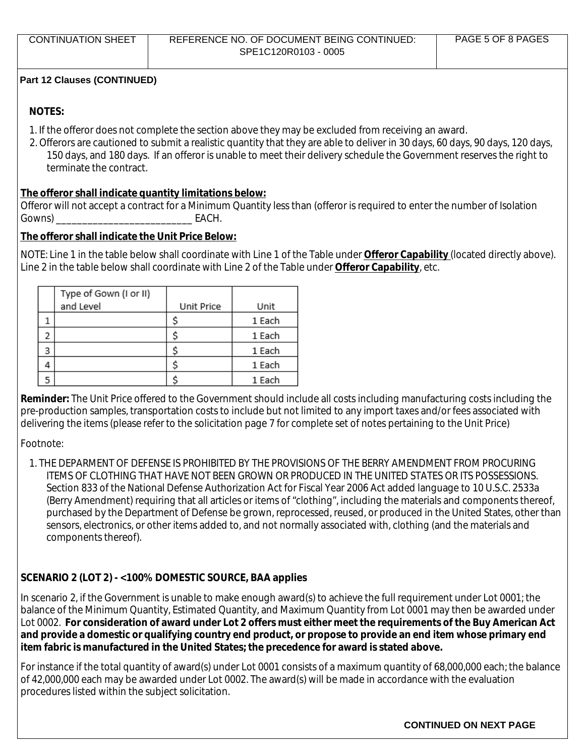## **NOTES:**

- 1. If the offeror does not complete the section above they may be excluded from receiving an award.
- 2. Offerors are cautioned to submit a realistic quantity that they are able to deliver in 30 days, 60 days, 90 days, 120 days, 150 days, and 180 days. If an offeror is unable to meet their delivery schedule the Government reserves the right to terminate the contract.

## **The offeror shall indicate quantity limitations below:**

Offeror will not accept a contract for a Minimum Quantity less than (offeror is required to enter the number of Isolation Gowns) \_\_\_\_\_\_\_\_\_\_\_\_\_\_\_\_\_\_\_\_\_\_\_\_\_\_ EACH.

## **The offeror shall indicate the Unit Price Below:**

NOTE: Line 1 in the table below shall coordinate with Line 1 of the Table under **Offeror Capability** (located directly above). Line 2 in the table below shall coordinate with Line 2 of the Table under **Offeror Capability**, etc.

|   | Type of Gown (I or II) |            |        |
|---|------------------------|------------|--------|
|   | and Level              | Unit Price | Unit   |
|   |                        |            | 1 Each |
|   |                        |            | 1 Each |
| 3 |                        |            | 1 Each |
|   |                        |            | 1 Each |
|   |                        |            | 1 Each |

**Reminder:** The Unit Price offered to the Government should include all costs including manufacturing costs including the pre-production samples, transportation costs to include but not limited to any import taxes and/or fees associated with delivering the items (please refer to the solicitation page 7 for complete set of notes pertaining to the Unit Price)

Footnote:

1. THE DEPARMENT OF DEFENSE IS PROHIBITED BY THE PROVISIONS OF THE BERRY AMENDMENT FROM PROCURING ITEMS OF CLOTHING THAT HAVE NOT BEEN GROWN OR PRODUCED IN THE UNITED STATES OR ITS POSSESSIONS. Section 833 of the National Defense Authorization Act for Fiscal Year 2006 Act added language to 10 U.S.C. 2533a (Berry Amendment) requiring that all articles or items of "clothing", including the materials and components thereof, purchased by the Department of Defense be grown, reprocessed, reused, or produced in the United States, other than sensors, electronics, or other items added to, and not normally associated with, clothing (and the materials and components thereof).

## **SCENARIO 2 (LOT 2) - <100% DOMESTIC SOURCE, BAA applies**

In scenario 2, if the Government is unable to make enough award(s) to achieve the full requirement under Lot 0001; the balance of the Minimum Quantity, Estimated Quantity, and Maximum Quantity from Lot 0001 may then be awarded under Lot 0002. **For consideration of award under Lot 2 offers must either meet the requirements of the Buy American Act and provide a domestic or qualifying country end product, or propose to provide an end item whose primary end item fabric is manufactured in the United States; the precedence for award is stated above.**

For instance if the total quantity of award(s) under Lot 0001 consists of a maximum quantity of 68,000,000 each; the balance of 42,000,000 each may be awarded under Lot 0002. The award(s) will be made in accordance with the evaluation procedures listed within the subject solicitation.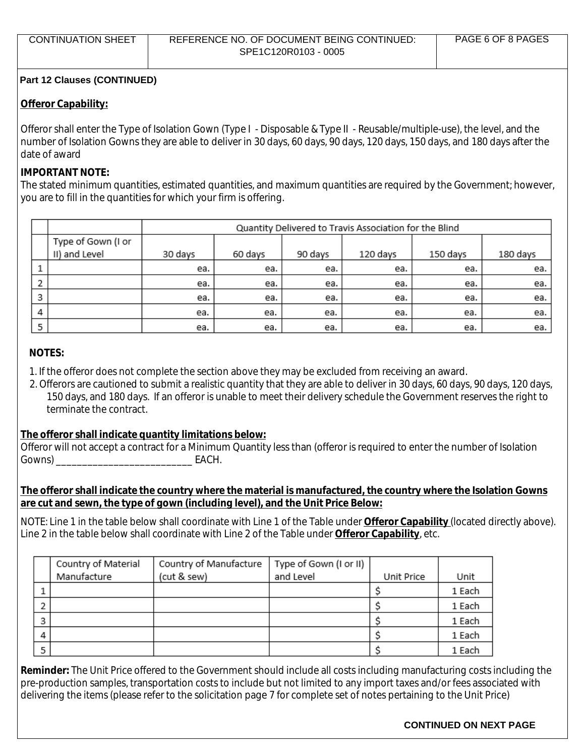#### **Offeror Capability:**

Offeror shall enter the Type of Isolation Gown (Type I - Disposable & Type II - Reusable/multiple-use), the level, and the number of Isolation Gowns they are able to deliver in 30 days, 60 days, 90 days, 120 days, 150 days, and 180 days after the date of award

### **IMPORTANT NOTE:**

The stated minimum quantities, estimated quantities, and maximum quantities are required by the Government; however, you are to fill in the quantities for which your firm is offering.

|   |                                     | Quantity Delivered to Travis Association for the Blind |         |         |          |          |          |
|---|-------------------------------------|--------------------------------------------------------|---------|---------|----------|----------|----------|
|   | Type of Gown (I or<br>II) and Level | 30 days                                                | 60 days | 90 days | 120 days | 150 days | 180 days |
|   |                                     | ea.                                                    | ea.     | ea.     | ea.      | ea.      | ea.      |
| э |                                     | ea.                                                    | ea.     | ea.     | ea.      | ea.      | ea.      |
| 3 |                                     | ea.                                                    | ea.     | ea.     | ea.      | ea.      | ea.      |
| 4 |                                     | ea.                                                    | ea.     | ea.     | ea.      | ea.      | ea.      |
| 5 |                                     | ea.                                                    | ea.     | ea.     | ea.      | ea.      | ea.      |

## **NOTES:**

- 1. If the offeror does not complete the section above they may be excluded from receiving an award.
- 2. Offerors are cautioned to submit a realistic quantity that they are able to deliver in 30 days, 60 days, 90 days, 120 days, 150 days, and 180 days. If an offeror is unable to meet their delivery schedule the Government reserves the right to terminate the contract.

#### **The offeror shall indicate quantity limitations below:**

Offeror will not accept a contract for a Minimum Quantity less than (offeror is required to enter the number of Isolation Gowns) \_\_\_\_\_\_\_\_\_\_\_\_\_\_\_\_\_\_\_\_\_\_\_\_\_\_ EACH.

## **The offeror shall indicate the country where the material is manufactured, the country where the Isolation Gowns are cut and sewn, the type of gown (including level), and the Unit Price Below:**

NOTE: Line 1 in the table below shall coordinate with Line 1 of the Table under **Offeror Capability** (located directly above). Line 2 in the table below shall coordinate with Line 2 of the Table under **Offeror Capability**, etc.

| Country of Material | Country of Manufacture | Type of Gown (I or II) |            |        |
|---------------------|------------------------|------------------------|------------|--------|
| Manufacture         | (cut & sew)            | and Level              | Unit Price | Unit   |
|                     |                        |                        |            | 1 Each |
|                     |                        |                        |            | 1 Each |
|                     |                        |                        |            | 1 Each |
|                     |                        |                        |            | 1 Each |
|                     |                        |                        |            | 1 Each |

**Reminder:** The Unit Price offered to the Government should include all costs including manufacturing costs including the pre-production samples, transportation costs to include but not limited to any import taxes and/or fees associated with delivering the items (please refer to the solicitation page 7 for complete set of notes pertaining to the Unit Price)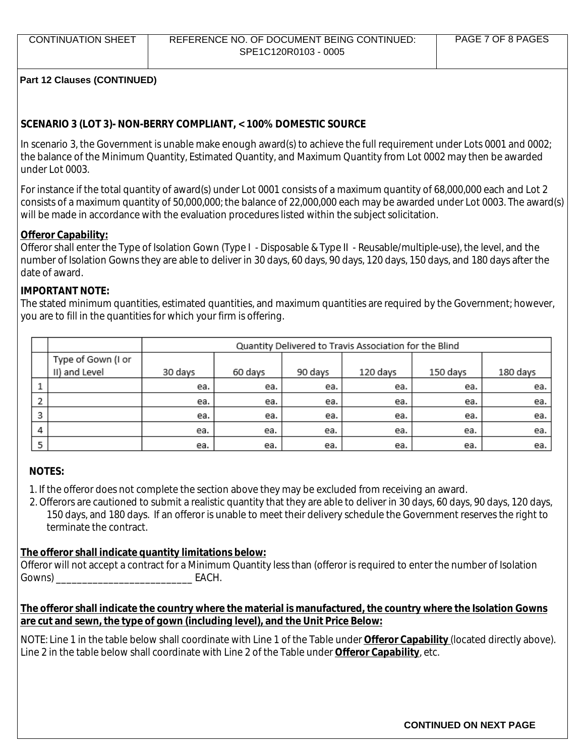## **SCENARIO 3 (LOT 3)- NON-BERRY COMPLIANT, < 100% DOMESTIC SOURCE**

In scenario 3, the Government is unable make enough award(s) to achieve the full requirement under Lots 0001 and 0002; the balance of the Minimum Quantity, Estimated Quantity, and Maximum Quantity from Lot 0002 may then be awarded under Lot 0003.

For instance if the total quantity of award(s) under Lot 0001 consists of a maximum quantity of 68,000,000 each and Lot 2 consists of a maximum quantity of 50,000,000; the balance of 22,000,000 each may be awarded under Lot 0003. The award(s) will be made in accordance with the evaluation procedures listed within the subject solicitation.

## **Offeror Capability:**

Offeror shall enter the Type of Isolation Gown (Type I - Disposable & Type II - Reusable/multiple-use), the level, and the number of Isolation Gowns they are able to deliver in 30 days, 60 days, 90 days, 120 days, 150 days, and 180 days after the date of award.

## **IMPORTANT NOTE:**

The stated minimum quantities, estimated quantities, and maximum quantities are required by the Government; however, you are to fill in the quantities for which your firm is offering.

|   |                    | Quantity Delivered to Travis Association for the Blind |         |         |          |          |          |
|---|--------------------|--------------------------------------------------------|---------|---------|----------|----------|----------|
|   | Type of Gown (I or |                                                        |         |         |          |          |          |
|   | II) and Level      | 30 days                                                | 60 days | 90 days | 120 days | 150 days | 180 days |
|   |                    | ea.                                                    | ea.     | ea.     | ea.      | ea.      | ea.      |
| э |                    | ea.                                                    | ea.     | ea.     | ea.      | ea.      | ea.      |
| 3 |                    | ea.                                                    | ea.     | ea.     | ea.      | ea.      | ea.      |
| 4 |                    | ea.                                                    | ea.     | ea.     | ea.      | ea.      | ea.      |
|   |                    | ea.                                                    | ea.     | ea.     | ea.      | ea.      | ea.      |

## **NOTES:**

- 1. If the offeror does not complete the section above they may be excluded from receiving an award.
- 2. Offerors are cautioned to submit a realistic quantity that they are able to deliver in 30 days, 60 days, 90 days, 120 days, 150 days, and 180 days. If an offeror is unable to meet their delivery schedule the Government reserves the right to terminate the contract.

#### **The offeror shall indicate quantity limitations below:**

Offeror will not accept a contract for a Minimum Quantity less than (offeror is required to enter the number of Isolation Gowns) \_\_\_\_\_\_\_\_\_\_\_\_\_\_\_\_\_\_\_\_\_\_\_\_\_\_ EACH.

## **The offeror shall indicate the country where the material is manufactured, the country where the Isolation Gowns are cut and sewn, the type of gown (including level), and the Unit Price Below:**

NOTE: Line 1 in the table below shall coordinate with Line 1 of the Table under **Offeror Capability** (located directly above). Line 2 in the table below shall coordinate with Line 2 of the Table under **Offeror Capability**, etc.